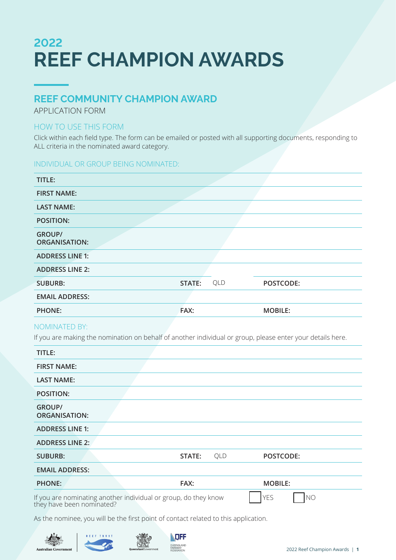# **2022 REEF CHAMPION AWARDS**

### **REEF COMMUNITY CHAMPION AWARD**

APPLICATION FORM

### HOW TO USE THIS FORM

Click within each field type. The form can be emailed or posted with all supporting documents, responding to ALL criteria in the nominated award category.

### INDIVIDUAL OR GROUP BEING NOMINATED:

| TITLE:                                |        |     |                |
|---------------------------------------|--------|-----|----------------|
| <b>FIRST NAME:</b>                    |        |     |                |
| <b>LAST NAME:</b>                     |        |     |                |
| <b>POSITION:</b>                      |        |     |                |
| <b>GROUP/</b><br><b>ORGANISATION:</b> |        |     |                |
| <b>ADDRESS LINE 1:</b>                |        |     |                |
| <b>ADDRESS LINE 2:</b>                |        |     |                |
| <b>SUBURB:</b>                        | STATE: | QLD | POSTCODE:      |
| <b>EMAIL ADDRESS:</b>                 |        |     |                |
| <b>PHONE:</b>                         | FAX:   |     | <b>MOBILE:</b> |

### NOMINATED BY:

If you are making the nomination on behalf of another individual or group, please enter your details here.

| TITLE:                                                                                                                       |        |     |                |
|------------------------------------------------------------------------------------------------------------------------------|--------|-----|----------------|
| <b>FIRST NAME:</b>                                                                                                           |        |     |                |
| <b>LAST NAME:</b>                                                                                                            |        |     |                |
| <b>POSITION:</b>                                                                                                             |        |     |                |
| <b>GROUP/</b><br><b>ORGANISATION:</b>                                                                                        |        |     |                |
| <b>ADDRESS LINE 1:</b>                                                                                                       |        |     |                |
| <b>ADDRESS LINE 2:</b>                                                                                                       |        |     |                |
| <b>SUBURB:</b>                                                                                                               | STATE: | QLD | POSTCODE:      |
| <b>EMAIL ADDRESS:</b>                                                                                                        |        |     |                |
| <b>PHONE:</b>                                                                                                                | FAX:   |     | <b>MOBILE:</b> |
| If you are nominating another individual or group, do they know<br>they have been nominated?<br><b>YES</b><br>N <sub>O</sub> |        |     |                |

As the nominee, you will be the first point of contact related to this application.





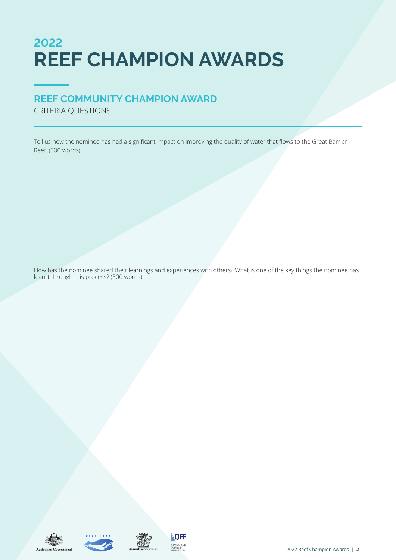# **2022 REEF CHAMPION AWARDS**

## **REEF COMMUNITY CHAMPION AWARD**

CRITERIA QUESTIONS

Tell us how the nominee has had a significant impact on improving the quality of water that flows to the Great Barrier Reef. (300 words)

How has the nominee shared their learnings and experiences with others? What is one of the key things the nominee has learnt through this process? (300 words)







**QUEENSLAND**<br>FARMERS'<br>FEDERATION